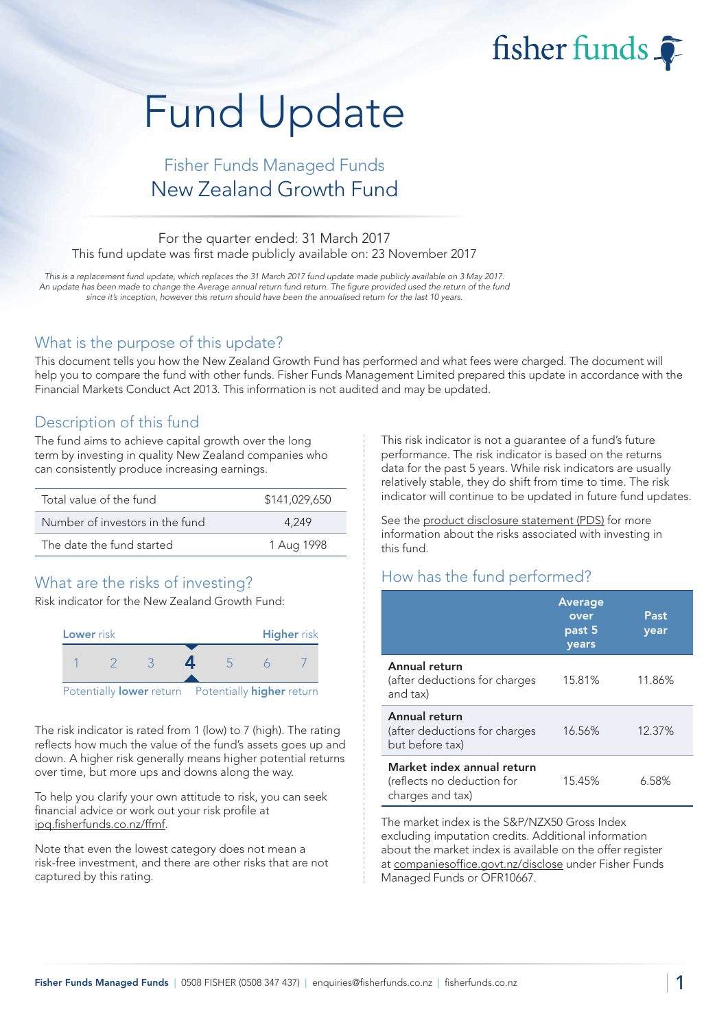# Fund Update

## Fisher Funds Managed Funds New Zealand Growth Fund

#### For the quarter ended: 31 March 2017 This fund update was first made publicly available on: 23 November 2017

This is a replacement fund update, which replaces the 31 March 2017 fund update made publicly available on 3 May 2017. An update has been made to change the Average annual return fund return. The figure provided used the return of the fund since it's inception, however this return should have been the annualised return for the last 10 years.

#### What is the purpose of this update?

This document tells you how the New Zealand Growth Fund has performed and what fees were charged. The document will help you to compare the fund with other funds. Fisher Funds Management Limited prepared this update in accordance with the Financial Markets Conduct Act 2013. This information is not audited and may be updated.

#### Description of this fund

The fund aims to achieve capital growth over the long term by investing in quality New Zealand companies who can consistently produce increasing earnings.

| Total value of the fund         | \$141,029,650 |
|---------------------------------|---------------|
| Number of investors in the fund | 4.249         |
| The date the fund started       | 1 Aug 1998    |

## What are the risks of investing?

Risk indicator for the New Zealand Growth Fund:



The risk indicator is rated from 1 (low) to 7 (high). The rating reflects how much the value of the fund's assets goes up and down. A higher risk generally means higher potential returns over time, but more ups and downs along the way.

To help you clarify your own attitude to risk, you can seek financial advice or work out your risk profile at [ipq.fisherfunds.co.nz/ffmf.](https://ipq.fisherfunds.co.nz/ffmf)

Note that even the lowest category does not mean a risk-free investment, and there are other risks that are not captured by this rating.

This risk indicator is not a guarantee of a fund's future performance. The risk indicator is based on the returns data for the past 5 years. While risk indicators are usually relatively stable, they do shift from time to time. The risk indicator will continue to be updated in future fund updates.

fisher funds

See the [product disclosure statement \(PDS\)](https://fisherfunds.co.nz/assets/PDS/Fisher-Funds-Managed-Funds-PDS.pdf) for more information about the risks associated with investing in this fund.

## How has the fund performed?

|                                                                              | <b>Average</b><br>over<br>past 5<br>years | Past<br>year |
|------------------------------------------------------------------------------|-------------------------------------------|--------------|
| Annual return<br>(after deductions for charges<br>and tax)                   | 15.81%                                    | 11.86%       |
| Annual return<br>(after deductions for charges<br>but before tax)            | 16.56%                                    | 12.37%       |
| Market index annual return<br>(reflects no deduction for<br>charges and tax) | 15.45%                                    | 6.58%        |

The market index is the S&P/NZX50 Gross Index excluding imputation credits. Additional information about the market index is available on the offer register at [companiesoffice.govt.nz/disclose](http://companiesoffice.govt.nz/disclose) under Fisher Funds Managed Funds or OFR10667.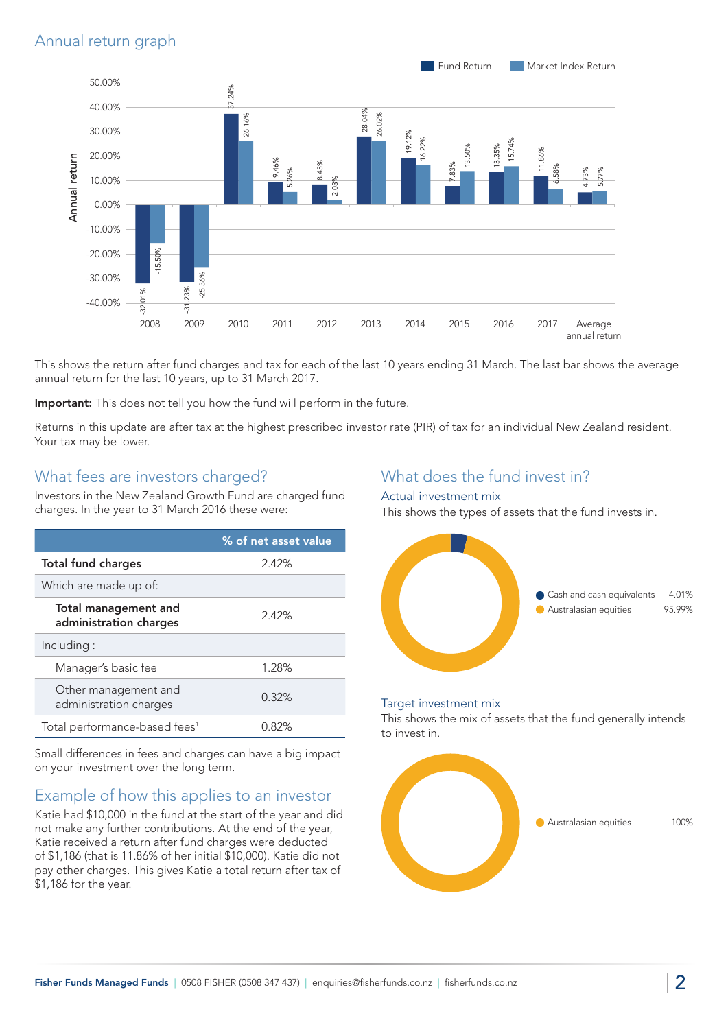

This shows the return after fund charges and tax for each of the last 10 years ending 31 March. The last bar shows the average annual return for the last 10 years, up to 31 March 2017.

Important: This does not tell you how the fund will perform in the future.

Returns in this update are after tax at the highest prescribed investor rate (PIR) of tax for an individual New Zealand resident. Your tax may be lower.

#### What fees are investors charged?

Investors in the New Zealand Growth Fund are charged fund charges. In the year to 31 March 2016 these were:

|                                                | % of net asset value |
|------------------------------------------------|----------------------|
| <b>Total fund charges</b>                      | 2.42%                |
| Which are made up of:                          |                      |
| Total management and<br>administration charges | 2.42%                |
| Including:                                     |                      |
| Manager's basic fee                            | 1.28%                |
| Other management and<br>administration charges | 0.32%                |
| Total performance-based fees <sup>1</sup>      | 0.82%                |

Small differences in fees and charges can have a big impact on your investment over the long term.

## Example of how this applies to an investor

Katie had \$10,000 in the fund at the start of the year and did not make any further contributions. At the end of the year, Katie received a return after fund charges were deducted of \$1,186 (that is 11.86% of her initial \$10,000). Katie did not pay other charges. This gives Katie a total return after tax of \$1,186 for the year.

### What does the fund invest in?

#### Actual investment mix

This shows the types of assets that the fund invests in.



#### Target investment mix

This shows the mix of assets that the fund generally intends to invest in.